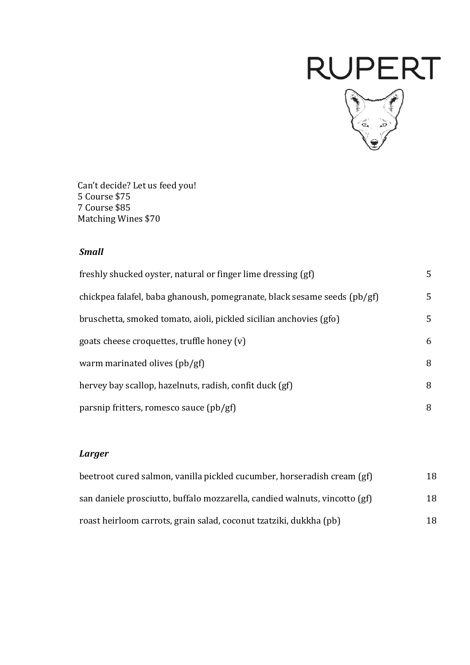# **RUPERT**



Can't decide? Let us feed you! 5 Course \$75 7 Course \$85 Matching Wines \$70

#### *Small*

| freshly shucked oyster, natural or finger lime dressing (gf)             | 5  |
|--------------------------------------------------------------------------|----|
| chickpea falafel, baba ghanoush, pomegranate, black sesame seeds (pb/gf) | 5  |
| bruschetta, smoked tomato, aioli, pickled sicilian anchovies (gfo)       | 5. |
| goats cheese croquettes, truffle honey (v)                               | 6  |
| warm marinated olives $\left(\frac{pb}{gf}\right)$                       | 8  |
| hervey bay scallop, hazelnuts, radish, confit duck (gf)                  | 8  |
| parsnip fritters, romesco sauce (pb/gf)                                  | 8  |

#### *Larger*

| beetroot cured salmon, vanilla pickled cucumber, horseradish cream (gf)    | 18 |
|----------------------------------------------------------------------------|----|
| san daniele prosciutto, buffalo mozzarella, candied walnuts, vincotto (gf) | 18 |
| roast heirloom carrots, grain salad, coconut tzatziki, dukkha (pb)         | 18 |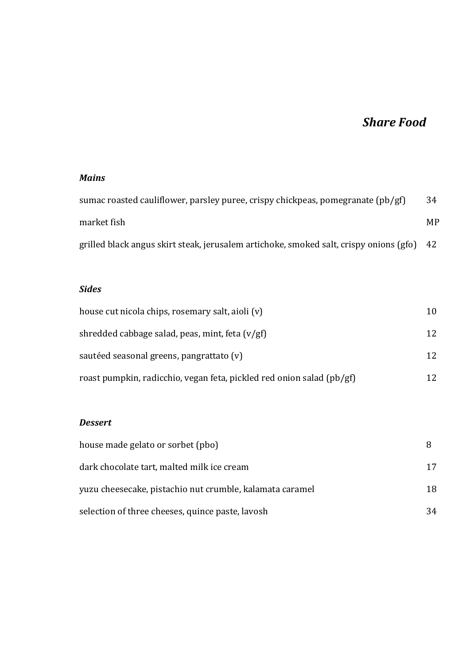## **Share Food**

#### *Mains*

| sumac roasted cauliflower, parsley puree, crispy chickpeas, pomegranate $(pb/gf)$      | 34  |
|----------------------------------------------------------------------------------------|-----|
| market fish                                                                            | MP. |
| grilled black angus skirt steak, jerusalem artichoke, smoked salt, crispy onions (gfo) | -42 |

#### *Sides*

| house cut nicola chips, rosemary salt, aioli (v)                      | 10. |
|-----------------------------------------------------------------------|-----|
| shredded cabbage salad, peas, mint, feta $(v/gf)$                     | 12  |
| sautéed seasonal greens, pangrattato (v)                              | 12  |
| roast pumpkin, radicchio, vegan feta, pickled red onion salad (pb/gf) |     |

#### *Dessert*

| house made gelato or sorbet (pbo)                        |    |
|----------------------------------------------------------|----|
| dark chocolate tart, malted milk ice cream               | 17 |
| yuzu cheesecake, pistachio nut crumble, kalamata caramel | 18 |
| selection of three cheeses, quince paste, lavosh         | 34 |